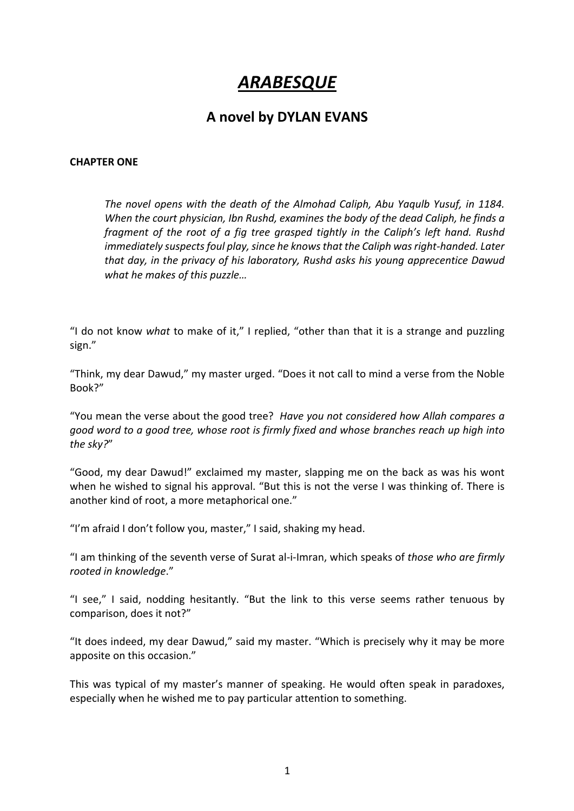## *ARABESQUE*

## **A novel by DYLAN EVANS**

## **CHAPTER ONE**

*The novel opens with the death of the Almohad Caliph, Abu Yaqulb Yusuf, in 1184. When the court physician, Ibn Rushd, examines the body of the dead Caliph, he finds a fragment of the root of a fig tree grasped tightly in the Caliph's left hand. Rushd immediately suspects foul play, since he knows that the Caliph was right-handed. Later that day, in the privacy of his laboratory, Rushd asks his young apprecentice Dawud what he makes of this puzzle…*

"I do not know *what* to make of it," I replied, "other than that it is a strange and puzzling sign."

"Think, my dear Dawud," my master urged. "Does it not call to mind a verse from the Noble Book?"

"You mean the verse about the good tree? *Have you not considered how Allah compares a good word to a good tree, whose root is firmly fixed and whose branches reach up high into the sky?*"

"Good, my dear Dawud!" exclaimed my master, slapping me on the back as was his wont when he wished to signal his approval. "But this is not the verse I was thinking of. There is another kind of root, a more metaphorical one."

"I'm afraid I don't follow you, master," I said, shaking my head.

"I am thinking of the seventh verse of Surat al-i-Imran, which speaks of *those who are firmly rooted in knowledge*."

"I see," I said, nodding hesitantly. "But the link to this verse seems rather tenuous by comparison, does it not?"

"It does indeed, my dear Dawud," said my master. "Which is precisely why it may be more apposite on this occasion."

This was typical of my master's manner of speaking. He would often speak in paradoxes, especially when he wished me to pay particular attention to something.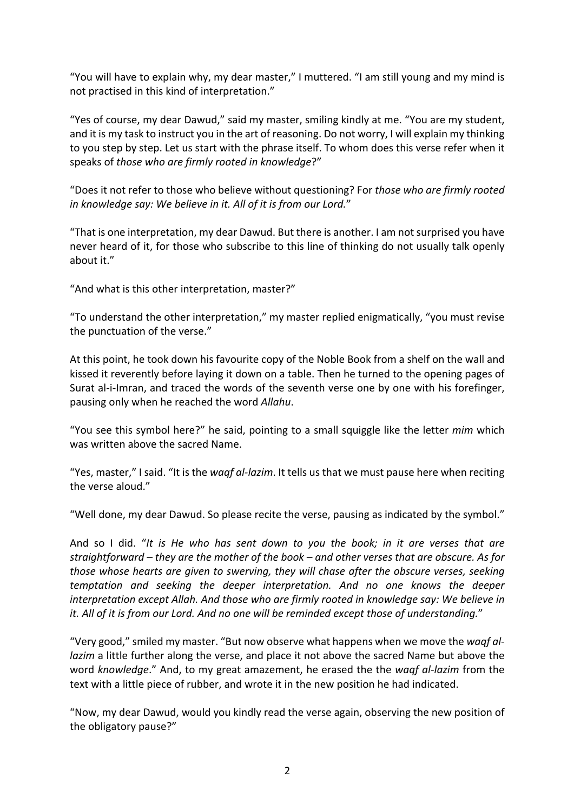"You will have to explain why, my dear master," I muttered. "I am still young and my mind is not practised in this kind of interpretation."

"Yes of course, my dear Dawud," said my master, smiling kindly at me. "You are my student, and it is my task to instruct you in the art of reasoning. Do not worry, I will explain my thinking to you step by step. Let us start with the phrase itself. To whom does this verse refer when it speaks of *those who are firmly rooted in knowledge*?"

"Does it not refer to those who believe without questioning? For *those who are firmly rooted in knowledge say: We believe in it. All of it is from our Lord.*"

"That is one interpretation, my dear Dawud. But there is another. I am not surprised you have never heard of it, for those who subscribe to this line of thinking do not usually talk openly about it."

"And what is this other interpretation, master?"

"To understand the other interpretation," my master replied enigmatically, "you must revise the punctuation of the verse."

At this point, he took down his favourite copy of the Noble Book from a shelf on the wall and kissed it reverently before laying it down on a table. Then he turned to the opening pages of Surat al-i-Imran, and traced the words of the seventh verse one by one with his forefinger, pausing only when he reached the word *Allahu*.

"You see this symbol here?" he said, pointing to a small squiggle like the letter *mim* which was written above the sacred Name.

"Yes, master," I said. "It is the *waqf al-lazim*. It tells us that we must pause here when reciting the verse aloud."

"Well done, my dear Dawud. So please recite the verse, pausing as indicated by the symbol."

And so I did. "*It is He who has sent down to you the book; in it are verses that are straightforward – they are the mother of the book – and other verses that are obscure. As for those whose hearts are given to swerving, they will chase after the obscure verses, seeking temptation and seeking the deeper interpretation. And no one knows the deeper interpretation except Allah. And those who are firmly rooted in knowledge say: We believe in it. All of it is from our Lord. And no one will be reminded except those of understanding.*"

"Very good," smiled my master. "But now observe what happens when we move the *waqf allazim* a little further along the verse, and place it not above the sacred Name but above the word *knowledge*." And, to my great amazement, he erased the the *waqf al-lazim* from the text with a little piece of rubber, and wrote it in the new position he had indicated.

"Now, my dear Dawud, would you kindly read the verse again, observing the new position of the obligatory pause?"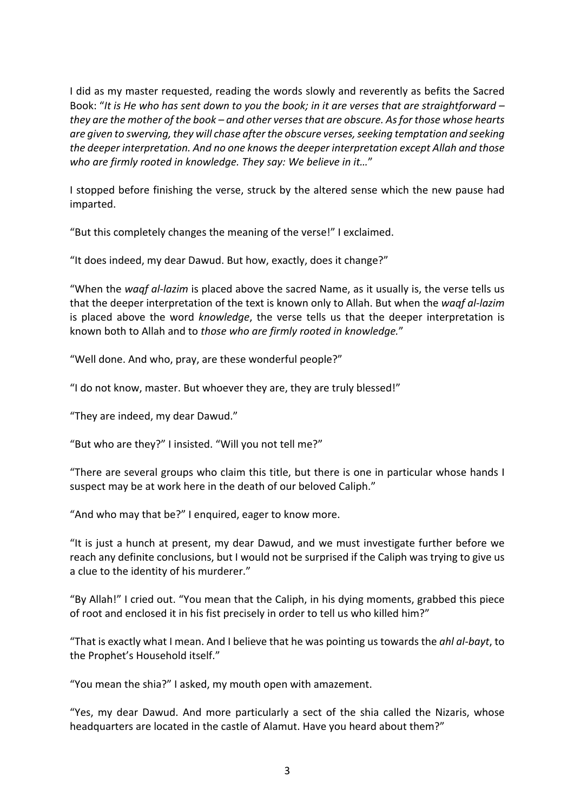I did as my master requested, reading the words slowly and reverently as befits the Sacred Book: "*It is He who has sent down to you the book; in it are verses that are straightforward – they are the mother of the book – and other verses that are obscure. As for those whose hearts are given to swerving, they will chase after the obscure verses, seeking temptation and seeking the deeper interpretation. And no one knowsthe deeper interpretation except Allah and those who are firmly rooted in knowledge. They say: We believe in it…*"

I stopped before finishing the verse, struck by the altered sense which the new pause had imparted.

"But this completely changes the meaning of the verse!" I exclaimed.

"It does indeed, my dear Dawud. But how, exactly, does it change?"

"When the *waqf al-lazim* is placed above the sacred Name, as it usually is, the verse tells us that the deeper interpretation of the text is known only to Allah. But when the *waqf al-lazim* is placed above the word *knowledge*, the verse tells us that the deeper interpretation is known both to Allah and to *those who are firmly rooted in knowledge.*"

"Well done. And who, pray, are these wonderful people?"

"I do not know, master. But whoever they are, they are truly blessed!"

"They are indeed, my dear Dawud."

"But who are they?" I insisted. "Will you not tell me?"

"There are several groups who claim this title, but there is one in particular whose hands I suspect may be at work here in the death of our beloved Caliph."

"And who may that be?" I enquired, eager to know more.

"It is just a hunch at present, my dear Dawud, and we must investigate further before we reach any definite conclusions, but I would not be surprised if the Caliph was trying to give us a clue to the identity of his murderer."

"By Allah!" I cried out. "You mean that the Caliph, in his dying moments, grabbed this piece of root and enclosed it in his fist precisely in order to tell us who killed him?"

"That is exactly what I mean. And I believe that he was pointing us towards the *ahl al-bayt*, to the Prophet's Household itself."

"You mean the shia?" I asked, my mouth open with amazement.

"Yes, my dear Dawud. And more particularly a sect of the shia called the Nizaris, whose headquarters are located in the castle of Alamut. Have you heard about them?"